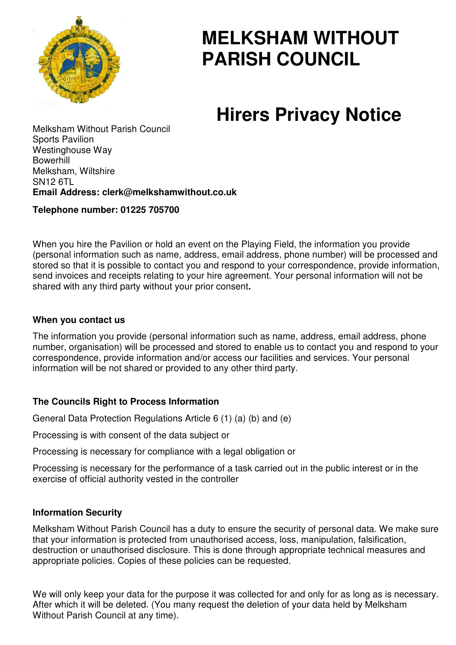

# **MELKSHAM WITHOUT PARISH COUNCIL**

# **Hirers Privacy Notice**

Melksham Without Parish Council Sports Pavilion Westinghouse Way Bowerhill Melksham, Wiltshire SN12 6TL **Email Address: clerk@melkshamwithout.co.uk** 

# **Telephone number: 01225 705700**

When you hire the Pavilion or hold an event on the Playing Field, the information you provide (personal information such as name, address, email address, phone number) will be processed and stored so that it is possible to contact you and respond to your correspondence, provide information, send invoices and receipts relating to your hire agreement. Your personal information will not be shared with any third party without your prior consent**.** 

# **When you contact us**

The information you provide (personal information such as name, address, email address, phone number, organisation) will be processed and stored to enable us to contact you and respond to your correspondence, provide information and/or access our facilities and services. Your personal information will be not shared or provided to any other third party.

# **The Councils Right to Process Information**

General Data Protection Regulations Article 6 (1) (a) (b) and (e)

Processing is with consent of the data subject or

Processing is necessary for compliance with a legal obligation or

Processing is necessary for the performance of a task carried out in the public interest or in the exercise of official authority vested in the controller

# **Information Security**

Melksham Without Parish Council has a duty to ensure the security of personal data. We make sure that your information is protected from unauthorised access, loss, manipulation, falsification, destruction or unauthorised disclosure. This is done through appropriate technical measures and appropriate policies. Copies of these policies can be requested.

We will only keep your data for the purpose it was collected for and only for as long as is necessary. After which it will be deleted. (You many request the deletion of your data held by Melksham Without Parish Council at any time).